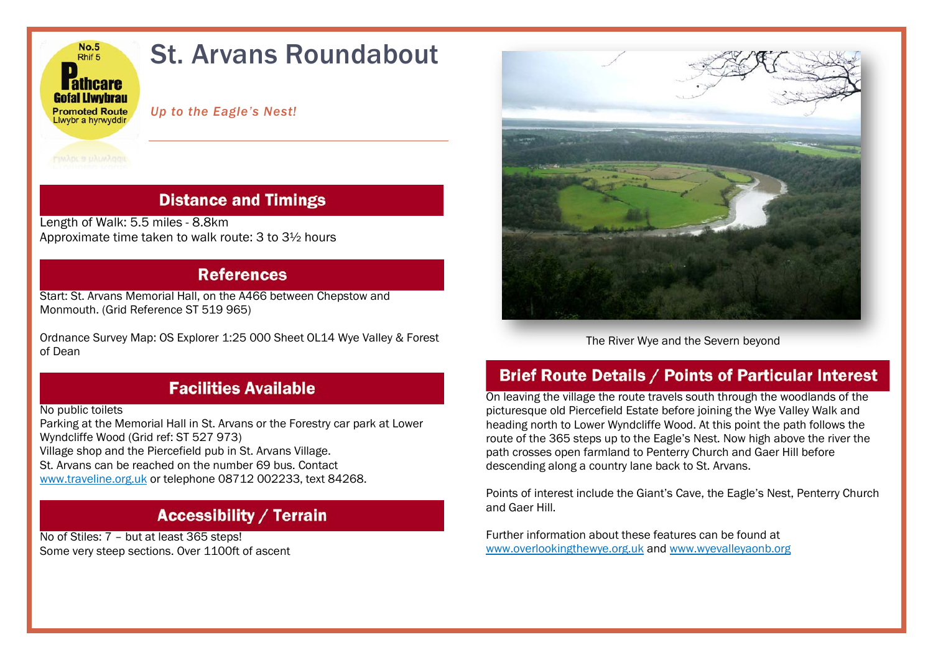

### **Distance and Timings**

Length of Walk: 5.5 miles - 8.8km Approximate time taken to walk route: 3 to 3½ hours

#### **References**

Start: St. Arvans Memorial Hall, on the A466 between Chepstow and Monmouth. (Grid Reference ST 519 965)

Ordnance Survey Map: OS Explorer 1:25 000 Sheet OL14 Wye Valley & Forest of Dean



The River Wye and the Severn beyond

## **Facilities Available**

No public toilets

Parking at the Memorial Hall in St. Arvans or the Forestry car park at Lower Wyndcliffe Wood (Grid ref: ST 527 973) Village shop and the Piercefield pub in St. Arvans Village. St. Arvans can be reached on the number 69 bus. Contact

[www.traveline.org.uk](http://www.traveline.org.uk/) or telephone 08712 002233, text 84268.

# **Accessibility / Terrain**

No of Stiles: 7 – but at least 365 steps! Some very steep sections. Over 1100ft of ascent

# **Brief Route Details / Points of Particular Interest**

On leaving the village the route travels south through the woodlands of the picturesque old Piercefield Estate before joining the Wye Valley Walk and heading north to Lower Wyndcliffe Wood. At this point the path follows the route of the 365 steps up to the Eagle's Nest. Now high above the river the path crosses open farmland to Penterry Church and Gaer Hill before descending along a country lane back to St. Arvans.

Points of interest include the Giant's Cave, the Eagle's Nest, Penterry Church and Gaer Hill.

Further information about these features can be found at [www.overlookingthewye.org.uk](http://www.overlookingthewye.org.uk/) and [www.wyevalleyaonb.org](http://www.wyevalleyaonb.org/)